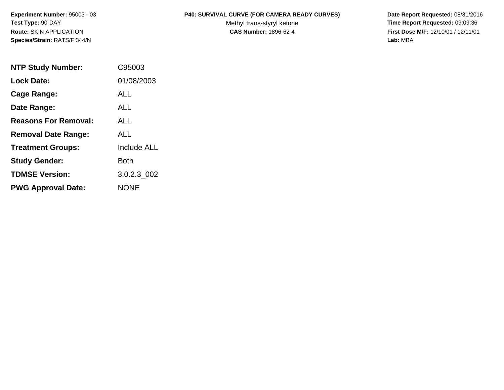**Species/Strain:** RATS/F 344/N **Lab:** MBA

## **Experiment Number:** 95003 - 03 **P40: SURVIVAL CURVE (FOR CAMERA READY CURVES) Date Report Requested:** 08/31/2016

Test Type: 90-DAY **The Report Requested: 09:09:36** Methyl trans-styryl ketone **Time Report Requested: 09:09:36 Route:** SKIN APPLICATION **CAS Number:** 1896-62-4 **First Dose M/F:** 12/10/01 / 12/11/01

| <b>NTP Study Number:</b>    | C95003             |
|-----------------------------|--------------------|
| <b>Lock Date:</b>           | 01/08/2003         |
| Cage Range:                 | ALL                |
| Date Range:                 | AI I               |
| <b>Reasons For Removal:</b> | ALL                |
| <b>Removal Date Range:</b>  | ALL                |
| <b>Treatment Groups:</b>    | <b>Include ALL</b> |
| <b>Study Gender:</b>        | Both               |
| <b>TDMSE Version:</b>       | 3.0.2.3 002        |
| <b>PWG Approval Date:</b>   | <b>NONE</b>        |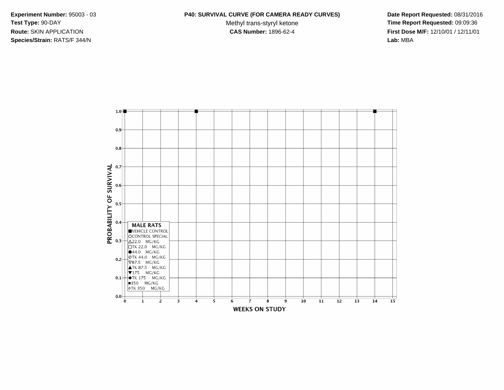**Species/Strain:** RATS/F 344/N **Lab:** MBA

## **Experiment Number:** 95003 - 03 **P40: SURVIVAL CURVE (FOR CAMERA READY CURVES) Date Report Requested:** 08/31/2016

Test Type: 90-DAY **The Report Requested: 09:09:36** Methyl trans-styryl ketone **Time Report Requested: 09:09:36 Route:** SKIN APPLICATION **CAS Number:** 1896-62-4 **First Dose M/F:** 12/10/01 / 12/11/01